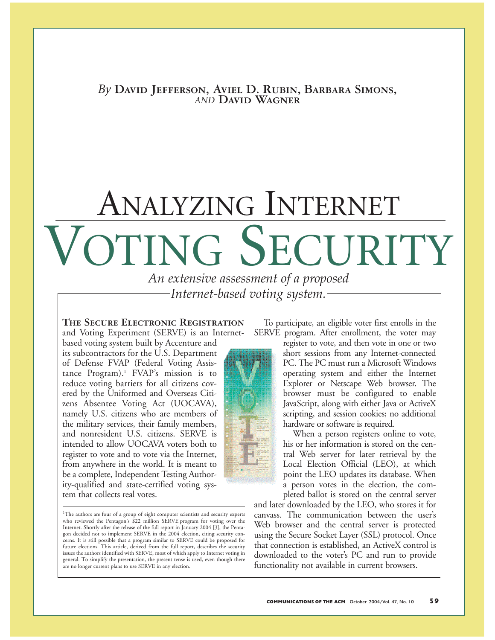*By* **David Jefferson, Aviel D. Rubin, Barbara Simons,**  *AND* **David Wagner** 

# ANALYZING INTERNET 'ING SECURITY

*An extensive assessment of a proposed Internet-based voting system.*

**The Secure Electronic Registration** and Voting Experiment (SERVE) is an Internet-

based voting system built by Accenture and its subcontractors for the U.S. Department of Defense FVAP (Federal Voting Assistance Program).<sup>1</sup> FVAP's mission is to reduce voting barriers for all citizens covered by the Uniformed and Overseas Citizens Absentee Voting Act (UOCAVA), namely U.S. citizens who are members of the military services, their family members, and nonresident U.S. citizens. SERVE is intended to allow UOCAVA voters both to register to vote and to vote via the Internet, from anywhere in the world. It is meant to be a complete, Independent Testing Authority-qualified and state-certified voting system that collects real votes.

<sup>1</sup>The authors are four of a group of eight computer scientists and security experts who reviewed the Pentagon's \$22 million SERVE program for voting over the Internet. Shortly after the release of the full report in January 2004 [3], the Pentagon decided not to implement SERVE in the 2004 election, citing security concerns. It is still possible that a program similar to SERVE could be proposed for future elections. This article, derived from the full report, describes the security issues the authors identified with SERVE, most of which apply to Internet voting in general. To simplify the presentation, the present tense is used, even though there are no longer current plans to use SERVE in any election.

To participate, an eligible voter first enrolls in the SERVE program. After enrollment, the voter may

> register to vote, and then vote in one or two short sessions from any Internet-connected PC. The PC must run a Microsoft Windows operating system and either the Internet Explorer or Netscape Web browser. The browser must be configured to enable JavaScript, along with either Java or ActiveX scripting, and session cookies; no additional hardware or software is required.

> When a person registers online to vote, his or her information is stored on the central Web server for later retrieval by the Local Election Official (LEO), at which point the LEO updates its database. When a person votes in the election, the completed ballot is stored on the central server

and later downloaded by the LEO, who stores it for canvass. The communication between the user's Web browser and the central server is protected using the Secure Socket Layer (SSL) protocol. Once that connection is established, an ActiveX control is downloaded to the voter's PC and run to provide functionality not available in current browsers.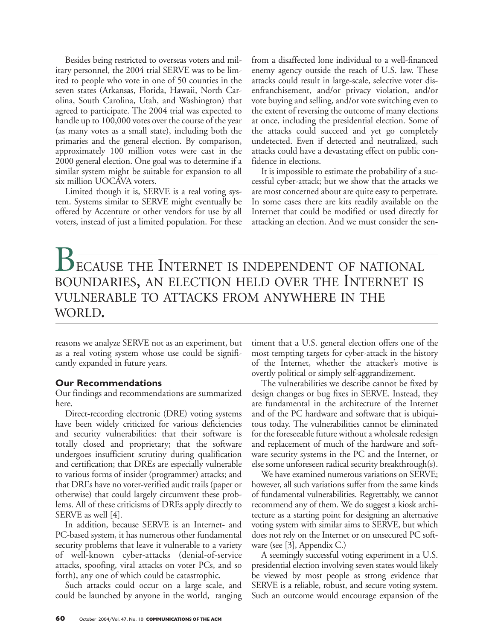Besides being restricted to overseas voters and military personnel, the 2004 trial SERVE was to be limited to people who vote in one of 50 counties in the seven states (Arkansas, Florida, Hawaii, North Carolina, South Carolina, Utah, and Washington) that agreed to participate. The 2004 trial was expected to handle up to 100,000 votes over the course of the year (as many votes as a small state), including both the primaries and the general election. By comparison, approximately 100 million votes were cast in the 2000 general election. One goal was to determine if a similar system might be suitable for expansion to all six million UOCAVA voters.

Limited though it is, SERVE is a real voting system. Systems similar to SERVE might eventually be offered by Accenture or other vendors for use by all voters, instead of just a limited population. For these from a disaffected lone individual to a well-financed enemy agency outside the reach of U.S. law. These attacks could result in large-scale, selective voter disenfranchisement, and/or privacy violation, and/or vote buying and selling, and/or vote switching even to the extent of reversing the outcome of many elections at once, including the presidential election. Some of the attacks could succeed and yet go completely undetected. Even if detected and neutralized, such attacks could have a devastating effect on public confidence in elections.

It is impossible to estimate the probability of a successful cyber-attack; but we show that the attacks we are most concerned about are quite easy to perpetrate. In some cases there are kits readily available on the Internet that could be modified or used directly for attacking an election. And we must consider the sen-

## DECAUSE THE INTERNET IS INDEPENDENT OF NATIONAL BOUNDARIES, AN ELECTION HELD OVER THE INTERNET IS VULNERABLE TO ATTACKS FROM ANYWHERE IN THE WORLD.

reasons we analyze SERVE not as an experiment, but as a real voting system whose use could be significantly expanded in future years.

#### **Our Recommendations**

Our findings and recommendations are summarized here.

Direct-recording electronic (DRE) voting systems have been widely criticized for various deficiencies and security vulnerabilities: that their software is totally closed and proprietary; that the software undergoes insufficient scrutiny during qualification and certification; that DREs are especially vulnerable to various forms of insider (programmer) attacks; and that DREs have no voter-verified audit trails (paper or otherwise) that could largely circumvent these problems. All of these criticisms of DREs apply directly to SERVE as well [4].

In addition, because SERVE is an Internet- and PC-based system, it has numerous other fundamental security problems that leave it vulnerable to a variety of well-known cyber-attacks (denial-of-service attacks, spoofing, viral attacks on voter PCs, and so forth), any one of which could be catastrophic.

Such attacks could occur on a large scale, and could be launched by anyone in the world, ranging

timent that a U.S. general election offers one of the most tempting targets for cyber-attack in the history of the Internet, whether the attacker's motive is overtly political or simply self-aggrandizement.

The vulnerabilities we describe cannot be fixed by design changes or bug fixes in SERVE. Instead, they are fundamental in the architecture of the Internet and of the PC hardware and software that is ubiquitous today. The vulnerabilities cannot be eliminated for the foreseeable future without a wholesale redesign and replacement of much of the hardware and software security systems in the PC and the Internet, or else some unforeseen radical security breakthrough(s).

We have examined numerous variations on SERVE; however, all such variations suffer from the same kinds of fundamental vulnerabilities. Regrettably, we cannot recommend any of them. We do suggest a kiosk architecture as a starting point for designing an alternative voting system with similar aims to SERVE, but which does not rely on the Internet or on unsecured PC software (see [3], Appendix C.)

A seemingly successful voting experiment in a U.S. presidential election involving seven states would likely be viewed by most people as strong evidence that SERVE is a reliable, robust, and secure voting system. Such an outcome would encourage expansion of the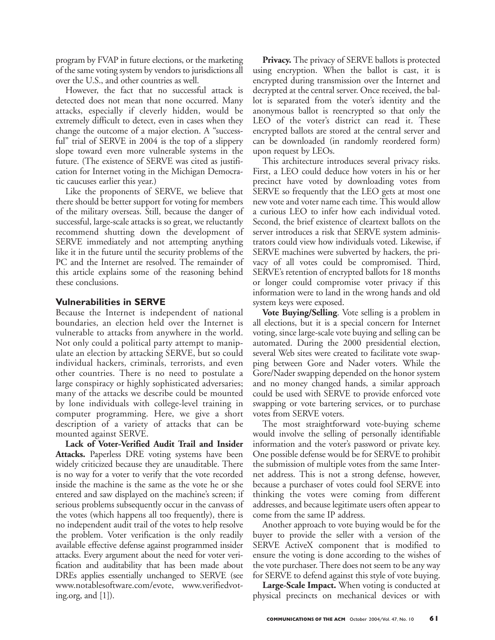program by FVAP in future elections, or the marketing of the same voting system by vendors to jurisdictions all over the U.S., and other countries as well.

However, the fact that no successful attack is detected does not mean that none occurred. Many attacks, especially if cleverly hidden, would be extremely difficult to detect, even in cases when they change the outcome of a major election. A "successful" trial of SERVE in 2004 is the top of a slippery slope toward even more vulnerable systems in the future. (The existence of SERVE was cited as justification for Internet voting in the Michigan Democratic caucuses earlier this year.)

Like the proponents of SERVE, we believe that there should be better support for voting for members of the military overseas. Still, because the danger of successful, large-scale attacks is so great, we reluctantly recommend shutting down the development of SERVE immediately and not attempting anything like it in the future until the security problems of the PC and the Internet are resolved. The remainder of this article explains some of the reasoning behind these conclusions.

#### **Vulnerabilities in SERVE**

Because the Internet is independent of national boundaries, an election held over the Internet is vulnerable to attacks from anywhere in the world. Not only could a political party attempt to manipulate an election by attacking SERVE, but so could individual hackers, criminals, terrorists, and even other countries. There is no need to postulate a large conspiracy or highly sophisticated adversaries; many of the attacks we describe could be mounted by lone individuals with college-level training in computer programming. Here, we give a short description of a variety of attacks that can be mounted against SERVE.

**Lack of Voter-Verified Audit Trail and Insider Attacks.** Paperless DRE voting systems have been widely criticized because they are unauditable. There is no way for a voter to verify that the vote recorded inside the machine is the same as the vote he or she entered and saw displayed on the machine's screen; if serious problems subsequently occur in the canvass of the votes (which happens all too frequently), there is no independent audit trail of the votes to help resolve the problem. Voter verification is the only readily available effective defense against programmed insider attacks. Every argument about the need for voter verification and auditability that has been made about DREs applies essentially unchanged to SERVE (see www.notablesoftware.com/evote, www.verifiedvoting.org, and [1]).

**Privacy.** The privacy of SERVE ballots is protected using encryption. When the ballot is cast, it is encrypted during transmission over the Internet and decrypted at the central server. Once received, the ballot is separated from the voter's identity and the anonymous ballot is reencrypted so that only the LEO of the voter's district can read it. These encrypted ballots are stored at the central server and can be downloaded (in randomly reordered form) upon request by LEOs.

This architecture introduces several privacy risks. First, a LEO could deduce how voters in his or her precinct have voted by downloading votes from SERVE so frequently that the LEO gets at most one new vote and voter name each time. This would allow a curious LEO to infer how each individual voted. Second, the brief existence of cleartext ballots on the server introduces a risk that SERVE system administrators could view how individuals voted. Likewise, if SERVE machines were subverted by hackers, the privacy of all votes could be compromised. Third, SERVE's retention of encrypted ballots for 18 months or longer could compromise voter privacy if this information were to land in the wrong hands and old system keys were exposed.

**Vote Buying/Selling**. Vote selling is a problem in all elections, but it is a special concern for Internet voting, since large-scale vote buying and selling can be automated. During the 2000 presidential election, several Web sites were created to facilitate vote swapping between Gore and Nader voters. While the Gore/Nader swapping depended on the honor system and no money changed hands, a similar approach could be used with SERVE to provide enforced vote swapping or vote bartering services, or to purchase votes from SERVE voters.

The most straightforward vote-buying scheme would involve the selling of personally identifiable information and the voter's password or private key. One possible defense would be for SERVE to prohibit the submission of multiple votes from the same Internet address. This is not a strong defense, however, because a purchaser of votes could fool SERVE into thinking the votes were coming from different addresses, and because legitimate users often appear to come from the same IP address.

Another approach to vote buying would be for the buyer to provide the seller with a version of the SERVE ActiveX component that is modified to ensure the voting is done according to the wishes of the vote purchaser. There does not seem to be any way for SERVE to defend against this style of vote buying.

**Large-Scale Impact.** When voting is conducted at physical precincts on mechanical devices or with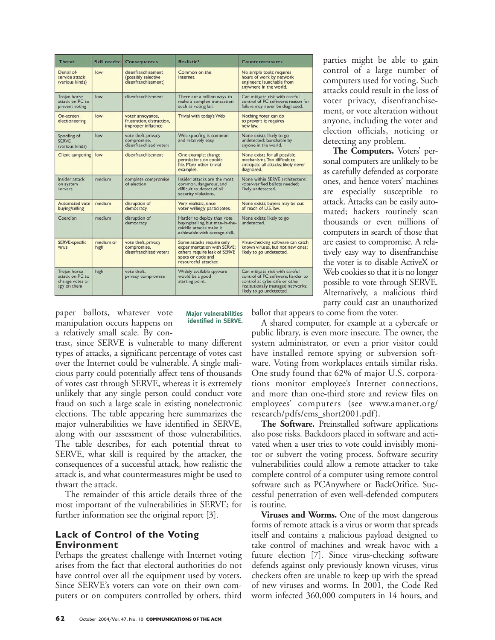| <b>Threat</b>                                                     | <b>Skill needed</b> | <b>Consequences</b>                                                 | Realistic?                                                                                                                             | <b>Countermeasures</b>                                                                                                                                                |
|-------------------------------------------------------------------|---------------------|---------------------------------------------------------------------|----------------------------------------------------------------------------------------------------------------------------------------|-----------------------------------------------------------------------------------------------------------------------------------------------------------------------|
| Denial of-<br>service attack<br>(various kinds)                   | low                 | disenfranchisement<br>(possibly selective<br>disenfranchisement)    | Common on the<br>Internet.                                                                                                             | No simple tools; requires<br>hours of work by network<br>engineers; launchable from<br>anywhere in the world.                                                         |
| Trojan horse<br>attack on PC to<br>prevent voting                 | low                 | disenfranchisement                                                  | There are a million ways to<br>make a complex transaction<br>such as voting fail.                                                      | Can mitigate risk with careful<br>control of PC software; reason for<br>failure may never be diagnosed.                                                               |
| On-screen<br>electioneering                                       | low                 | voter annoyance,<br>frustration, distraction,<br>improper influence | Trivial with today's Web.                                                                                                              | Nothing voter can do<br>to prevent it; requires<br>new law.                                                                                                           |
| Spoofing of<br><b>SERVE</b><br>(various kinds)                    | low                 | vote theft, privacy<br>compromise,<br>disenfranchised voters        | Web spoofing is common<br>and relatively easy.                                                                                         | None exists; likely to go<br>undetected; launchable by<br>anyone in the world.                                                                                        |
| Client tampering                                                  | low                 | disenfranchisement                                                  | One example: change<br>permissions on cookie<br>file. Many other trivial<br>examples.                                                  | None exists for all possible<br>mechanisms. Too difficult to<br>anticipate all attacks; likely never<br>diagnosed.                                                    |
| Insider attack<br>on system<br>servers                            | medium              | complete compromise<br>of election                                  | Insider attacks are the most<br>common, dangerous, and<br>difficult to detect of all<br>security violations.                           | None within SERVE architecture:<br>voter-verified ballots needed:<br>likely undetected.                                                                               |
| Automated vote<br>buying/selling                                  | medium              | disruption of<br>democracy                                          | Very realistic, since<br>voter willingly participates.                                                                                 | None exists; buyers may be out<br>of reach of U.S. law.                                                                                                               |
| Coercion                                                          | medium              | disruption of<br>democracy                                          | Harder to deploy than vote<br>buying/selling, but man-in-the-<br>middle attacks make it.<br>achievable with average skill.             | None exists; likely to go<br>undetected.                                                                                                                              |
| <b>SERVE-specific</b><br>virus                                    | medium or<br>high   | vote theft, privacy<br>compromise,<br>disenfranchised voters        | Some attacks require only<br>experimentation with SERVE;<br>others require leak of SERVE<br>specs or code and<br>resourceful attacker. | Virus-checking software can catch<br>known viruses, but not new ones:<br>likely to go undetected.                                                                     |
| Trojan horse<br>attack on PC to<br>change votes or<br>spy on them | high                | vote theft.<br>privacy compromise                                   | Widely available spyware<br>would be a good<br>starting point.                                                                         | Can mitigate risk with careful<br>control of PC software; harder to<br>control at cybercafe or other<br>institutionally managed networks;<br>likely to go undetected. |

parties might be able to gain control of a large number of computers used for voting. Such attacks could result in the loss of voter privacy, disenfranchisement, or vote alteration without anyone, including the voter and election officials, noticing or detecting any problem.

**The Computers.** Voters' personal computers are unlikely to be as carefully defended as corporate ones, and hence voters' machines are especially susceptible to attack. Attacks can be easily automated; hackers routinely scan thousands or even millions of computers in search of those that are easiest to compromise. A relatively easy way to disenfranchise the voter is to disable ActiveX or Web cookies so that it is no longer possible to vote through SERVE. Alternatively, a malicious third party could cast an unauthorized

paper ballots, whatever vote manipulation occurs happens on a relatively small scale. By con-

**Major vulnerabilities identified in SERVE.** 

trast, since SERVE is vulnerable to many different types of attacks, a significant percentage of votes cast over the Internet could be vulnerable. A single malicious party could potentially affect tens of thousands of votes cast through SERVE, whereas it is extremely unlikely that any single person could conduct vote fraud on such a large scale in existing nonelectronic elections. The table appearing here summarizes the major vulnerabilities we have identified in SERVE, along with our assessment of those vulnerabilities. The table describes, for each potential threat to SERVE, what skill is required by the attacker, the consequences of a successful attack, how realistic the attack is, and what countermeasures might be used to thwart the attack.

The remainder of this article details three of the most important of the vulnerabilities in SERVE; for further information see the original report [3].

#### **Lack of Control of the Voting Environment**

Perhaps the greatest challenge with Internet voting arises from the fact that electoral authorities do not have control over all the equipment used by voters. Since SERVE's voters can vote on their own computers or on computers controlled by others, third

ballot that appears to come from the voter.

A shared computer, for example at a cybercafe or public library, is even more insecure. The owner, the system administrator, or even a prior visitor could have installed remote spying or subversion software. Voting from workplaces entails similar risks. One study found that 62% of major U.S. corporations monitor employee's Internet connections, and more than one-third store and review files on employees' computers (see www.amanet.org/ research/pdfs/ems\_short2001.pdf).

**The Software.** Preinstalled software applications also pose risks. Backdoors placed in software and activated when a user tries to vote could invisibly monitor or subvert the voting process. Software security vulnerabilities could allow a remote attacker to take complete control of a computer using remote control software such as PCAnywhere or BackOrifice. Successful penetration of even well-defended computers is routine.

**Viruses and Worms.** One of the most dangerous forms of remote attack is a virus or worm that spreads itself and contains a malicious payload designed to take control of machines and wreak havoc with a future election [7]. Since virus-checking software defends against only previously known viruses, virus checkers often are unable to keep up with the spread of new viruses and worms. In 2001, the Code Red worm infected 360,000 computers in 14 hours, and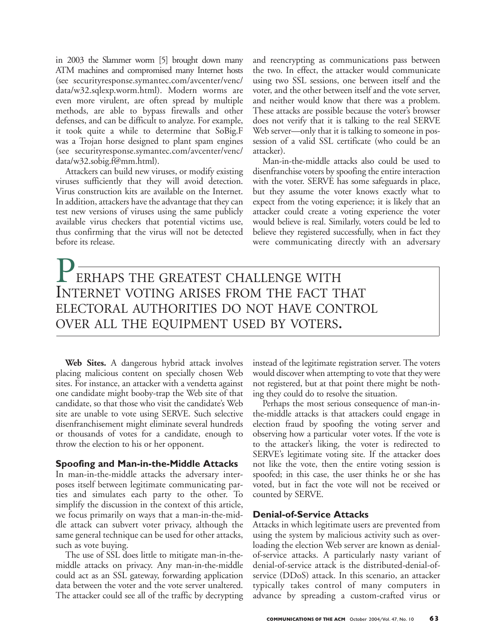in 2003 the Slammer worm [5] brought down many ATM machines and compromised many Internet hosts (see securityresponse.symantec.com/avcenter/venc/ data/w32.sqlexp.worm.html). Modern worms are even more virulent, are often spread by multiple methods, are able to bypass firewalls and other defenses, and can be difficult to analyze. For example, it took quite a while to determine that SoBig.F was a Trojan horse designed to plant spam engines (see securityresponse.symantec.com/avcenter/venc/ data/w32.sobig.f@mm.html).

Attackers can build new viruses, or modify existing viruses sufficiently that they will avoid detection. Virus construction kits are available on the Internet. In addition, attackers have the advantage that they can test new versions of viruses using the same publicly available virus checkers that potential victims use, thus confirming that the virus will not be detected before its release.

and reencrypting as communications pass between the two. In effect, the attacker would communicate using two SSL sessions, one between itself and the voter, and the other between itself and the vote server, and neither would know that there was a problem. These attacks are possible because the voter's browser does not verify that it is talking to the real SERVE Web server—only that it is talking to someone in possession of a valid SSL certificate (who could be an attacker).

Man-in-the-middle attacks also could be used to disenfranchise voters by spoofing the entire interaction with the voter. SERVE has some safeguards in place, but they assume the voter knows exactly what to expect from the voting experience; it is likely that an attacker could create a voting experience the voter would believe is real. Similarly, voters could be led to believe they registered successfully, when in fact they were communicating directly with an adversary

## ERHAPS THE GREATEST CHALLENGE WITH INTERNET VOTING ARISES FROM THE FACT THAT ELECTORAL AUTHORITIES DO NOT HAVE CONTROL OVER ALL THE EQUIPMENT USED BY VOTERS.

**Web Sites.** A dangerous hybrid attack involves placing malicious content on specially chosen Web sites. For instance, an attacker with a vendetta against one candidate might booby-trap the Web site of that candidate, so that those who visit the candidate's Web site are unable to vote using SERVE. Such selective disenfranchisement might eliminate several hundreds or thousands of votes for a candidate, enough to throw the election to his or her opponent.

#### **Spoofing and Man-in-the-Middle Attacks**

In man-in-the-middle attacks the adversary interposes itself between legitimate communicating parties and simulates each party to the other. To simplify the discussion in the context of this article, we focus primarily on ways that a man-in-the-middle attack can subvert voter privacy, although the same general technique can be used for other attacks, such as vote buying.

The use of SSL does little to mitigate man-in-themiddle attacks on privacy. Any man-in-the-middle could act as an SSL gateway, forwarding application data between the voter and the vote server unaltered. The attacker could see all of the traffic by decrypting instead of the legitimate registration server. The voters would discover when attempting to vote that they were not registered, but at that point there might be nothing they could do to resolve the situation.

Perhaps the most serious consequence of man-inthe-middle attacks is that attackers could engage in election fraud by spoofing the voting server and observing how a particular voter votes. If the vote is to the attacker's liking, the voter is redirected to SERVE's legitimate voting site. If the attacker does not like the vote, then the entire voting session is spoofed; in this case, the user thinks he or she has voted, but in fact the vote will not be received or counted by SERVE.

#### **Denial-of-Service Attacks**

Attacks in which legitimate users are prevented from using the system by malicious activity such as overloading the election Web server are known as denialof-service attacks. A particularly nasty variant of denial-of-service attack is the distributed-denial-ofservice (DDoS) attack. In this scenario, an attacker typically takes control of many computers in advance by spreading a custom-crafted virus or